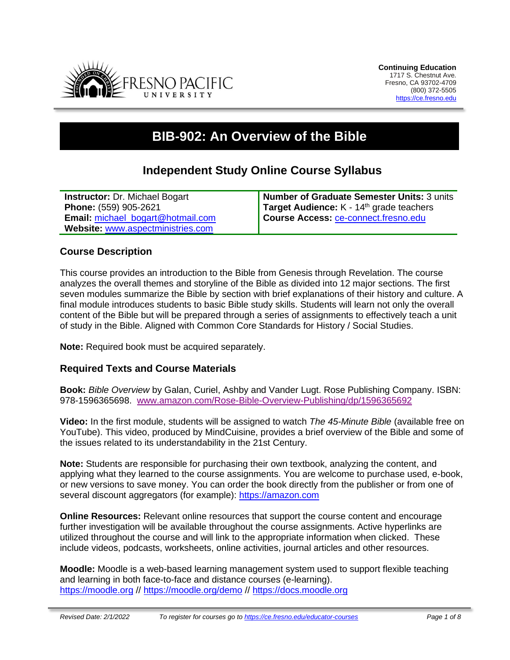

# **BIB-902: An Overview of the Bible**

# **Independent Study Online Course Syllabus**

| <b>Instructor: Dr. Michael Bogart</b> | Number of Graduate Semester Units: 3 units           |
|---------------------------------------|------------------------------------------------------|
| Phone: (559) 905-2621                 | Target Audience: K - 14 <sup>th</sup> grade teachers |
| Email: michael_bogart@hotmail.com     | Course Access: ce-connect.fresno.edu                 |
| Website: www.aspectministries.com     |                                                      |

#### **Course Description**

This course provides an introduction to the Bible from Genesis through Revelation. The course analyzes the overall themes and storyline of the Bible as divided into 12 major sections. The first seven modules summarize the Bible by section with brief explanations of their history and culture. A final module introduces students to basic Bible study skills. Students will learn not only the overall content of the Bible but will be prepared through a series of assignments to effectively teach a unit of study in the Bible. Aligned with Common Core Standards for History / Social Studies.

**Note:** Required book must be acquired separately.

#### **Required Texts and Course Materials**

**Book:** *Bible Overview* by Galan, Curiel, Ashby and Vander Lugt. Rose Publishing Company. ISBN: 978-1596365698. [www.amazon.com/Rose-Bible-Overview-Publishing/dp/1596365692](http://www.amazon.com/Rose-Bible-Overview-Publishing/dp/1596365692)

**Video:** In the first module, students will be assigned to watch *The 45-Minute Bible* (available free on YouTube). This video, produced by MindCuisine, provides a brief overview of the Bible and some of the issues related to its understandability in the 21st Century.

**Note:** Students are responsible for purchasing their own textbook, analyzing the content, and applying what they learned to the course assignments. You are welcome to purchase used, e-book, or new versions to save money. You can order the book directly from the publisher or from one of several discount aggregators (for example): [https://amazon.com](https://amazon.com/)

**Online Resources:** Relevant online resources that support the course content and encourage further investigation will be available throughout the course assignments. Active hyperlinks are utilized throughout the course and will link to the appropriate information when clicked. These include videos, podcasts, worksheets, online activities, journal articles and other resources.

**Moodle:** Moodle is a web-based learning management system used to support flexible teaching and learning in both face-to-face and distance courses (e-learning). [https://moodle.org](https://moodle.org/) // <https://moodle.org/demo> // [https://docs.moodle.org](https://docs.moodle.org/)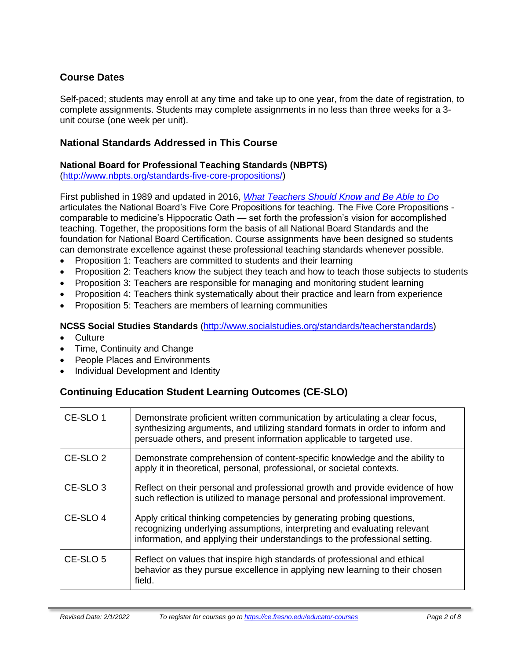# **Course Dates**

Self-paced; students may enroll at any time and take up to one year, from the date of registration, to complete assignments. Students may complete assignments in no less than three weeks for a 3 unit course (one week per unit).

# **National Standards Addressed in This Course**

# **National Board for Professional Teaching Standards (NBPTS)**

[\(http://www.nbpts.org/standards-five-core-propositions/\)](http://www.nbpts.org/standards-five-core-propositions/)

First published in 1989 and updated in 2016, *[What Teachers Should Know and Be Able to Do](http://www.accomplishedteacher.org/)* articulates the National Board's Five Core Propositions for teaching. The Five Core Propositions comparable to medicine's Hippocratic Oath — set forth the profession's vision for accomplished teaching. Together, the propositions form the basis of all National Board Standards and the foundation for National Board Certification. Course assignments have been designed so students can demonstrate excellence against these professional teaching standards whenever possible.

- Proposition 1: Teachers are committed to students and their learning
- Proposition 2: Teachers know the subject they teach and how to teach those subjects to students
- Proposition 3: Teachers are responsible for managing and monitoring student learning
- Proposition 4: Teachers think systematically about their practice and learn from experience
- Proposition 5: Teachers are members of learning communities

### **NCSS Social Studies Standards** [\(http://www.socialstudies.org/standards/teacherstandards\)](http://www.socialstudies.org/standards/teacherstandards)

- Culture
- Time, Continuity and Change
- People Places and Environments
- Individual Development and Identity

# **Continuing Education Student Learning Outcomes (CE-SLO)**

| CE-SLO 1            | Demonstrate proficient written communication by articulating a clear focus,<br>synthesizing arguments, and utilizing standard formats in order to inform and<br>persuade others, and present information applicable to targeted use. |
|---------------------|--------------------------------------------------------------------------------------------------------------------------------------------------------------------------------------------------------------------------------------|
| CE-SLO <sub>2</sub> | Demonstrate comprehension of content-specific knowledge and the ability to<br>apply it in theoretical, personal, professional, or societal contexts.                                                                                 |
| CE-SLO <sub>3</sub> | Reflect on their personal and professional growth and provide evidence of how<br>such reflection is utilized to manage personal and professional improvement.                                                                        |
| CE-SLO <sub>4</sub> | Apply critical thinking competencies by generating probing questions,<br>recognizing underlying assumptions, interpreting and evaluating relevant<br>information, and applying their understandings to the professional setting.     |
| CE-SLO 5            | Reflect on values that inspire high standards of professional and ethical<br>behavior as they pursue excellence in applying new learning to their chosen<br>field.                                                                   |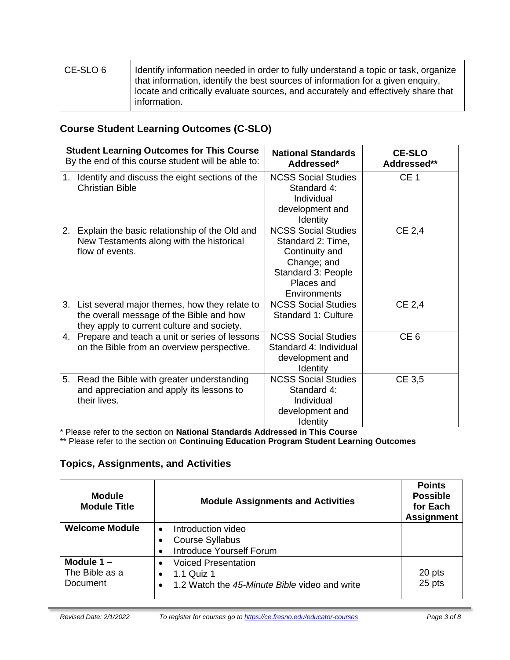| CE-SLO 6 | Identify information needed in order to fully understand a topic or task, organize<br>that information, identify the best sources of information for a given enguiry,<br>locate and critically evaluate sources, and accurately and effectively share that<br>information. |
|----------|----------------------------------------------------------------------------------------------------------------------------------------------------------------------------------------------------------------------------------------------------------------------------|
|          |                                                                                                                                                                                                                                                                            |

# **Course Student Learning Outcomes (C-SLO)**

|    | <b>Student Learning Outcomes for This Course</b><br>By the end of this course student will be able to:                                     | <b>National Standards</b><br>Addressed*                                                                                              | <b>CE-SLO</b><br>Addressed** |
|----|--------------------------------------------------------------------------------------------------------------------------------------------|--------------------------------------------------------------------------------------------------------------------------------------|------------------------------|
| 1. | Identify and discuss the eight sections of the<br><b>Christian Bible</b>                                                                   | <b>NCSS Social Studies</b><br>Standard 4:<br>Individual<br>development and<br>Identity                                               | CE <sub>1</sub>              |
| 2. | Explain the basic relationship of the Old and<br>New Testaments along with the historical<br>flow of events.                               | <b>NCSS Social Studies</b><br>Standard 2: Time,<br>Continuity and<br>Change; and<br>Standard 3: People<br>Places and<br>Environments | CE 2,4                       |
|    | 3. List several major themes, how they relate to<br>the overall message of the Bible and how<br>they apply to current culture and society. | <b>NCSS Social Studies</b><br>Standard 1: Culture                                                                                    | CE 2,4                       |
|    | 4. Prepare and teach a unit or series of lessons<br>on the Bible from an overview perspective.                                             | <b>NCSS Social Studies</b><br>Standard 4: Individual<br>development and<br>Identity                                                  | CE <sub>6</sub>              |
| 5. | Read the Bible with greater understanding<br>and appreciation and apply its lessons to<br>their lives.                                     | <b>NCSS Social Studies</b><br>Standard 4:<br>Individual<br>development and<br>Identity                                               | CE 3,5                       |

\* Please refer to the section on **National Standards Addressed in This Course**

\*\* Please refer to the section on **Continuing Education Program Student Learning Outcomes**

# **Topics, Assignments, and Activities**

| <b>Module</b><br><b>Module Title</b> | <b>Module Assignments and Activities</b>      | <b>Points</b><br><b>Possible</b><br>for Each<br><b>Assignment</b> |
|--------------------------------------|-----------------------------------------------|-------------------------------------------------------------------|
| <b>Welcome Module</b>                | Introduction video                            |                                                                   |
|                                      | <b>Course Syllabus</b>                        |                                                                   |
|                                      | <b>Introduce Yourself Forum</b>               |                                                                   |
| Module $1 -$                         | <b>Voiced Presentation</b>                    |                                                                   |
| The Bible as a                       | 1.1 Quiz 1<br>$\bullet$                       | 20 pts                                                            |
| Document                             | 1.2 Watch the 45-Minute Bible video and write | 25 pts                                                            |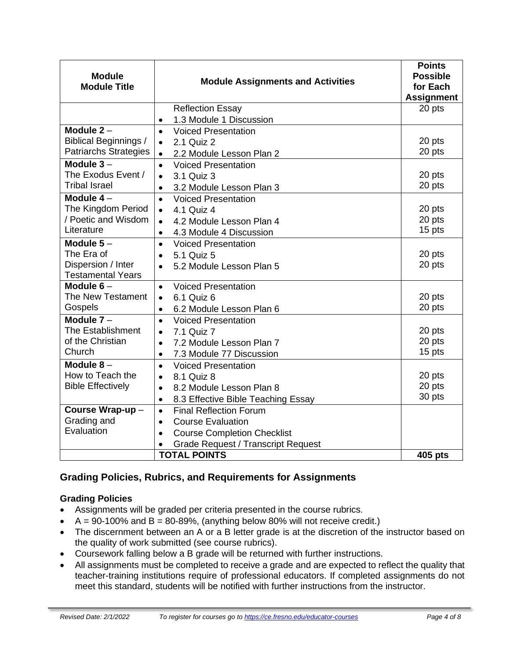| <b>Module</b><br><b>Module Title</b>                         | <b>Module Assignments and Activities</b>                                         | <b>Points</b><br><b>Possible</b><br>for Each<br><b>Assignment</b> |
|--------------------------------------------------------------|----------------------------------------------------------------------------------|-------------------------------------------------------------------|
|                                                              | <b>Reflection Essay</b>                                                          | 20 pts                                                            |
|                                                              | 1.3 Module 1 Discussion<br>$\bullet$                                             |                                                                   |
| Module $2 -$                                                 | <b>Voiced Presentation</b><br>$\bullet$                                          |                                                                   |
| <b>Biblical Beginnings /</b><br><b>Patriarchs Strategies</b> | 2.1 Quiz 2<br>$\bullet$                                                          | 20 pts<br>20 pts                                                  |
| Module $3-$                                                  | 2.2 Module Lesson Plan 2<br>$\bullet$                                            |                                                                   |
| The Exodus Event /                                           | <b>Voiced Presentation</b><br>$\bullet$                                          | 20 pts                                                            |
| <b>Tribal Israel</b>                                         | 3.1 Quiz 3<br>$\bullet$                                                          | 20 pts                                                            |
| Module $4-$                                                  | 3.2 Module Lesson Plan 3<br>$\bullet$<br><b>Voiced Presentation</b><br>$\bullet$ |                                                                   |
| The Kingdom Period                                           | 4.1 Quiz 4<br>$\bullet$                                                          | 20 pts                                                            |
| / Poetic and Wisdom                                          | 4.2 Module Lesson Plan 4<br>$\bullet$                                            | 20 pts                                                            |
| Literature                                                   | 4.3 Module 4 Discussion<br>$\bullet$                                             | 15 pts                                                            |
| Module $5-$                                                  | <b>Voiced Presentation</b><br>$\bullet$                                          |                                                                   |
| The Era of                                                   | 5.1 Quiz 5<br>$\bullet$                                                          | 20 pts                                                            |
| Dispersion / Inter                                           | 5.2 Module Lesson Plan 5<br>$\bullet$                                            | 20 pts                                                            |
| <b>Testamental Years</b>                                     |                                                                                  |                                                                   |
| Module $6-$                                                  | <b>Voiced Presentation</b><br>$\bullet$                                          |                                                                   |
| The New Testament                                            | 6.1 Quiz 6<br>$\bullet$                                                          | 20 pts                                                            |
| Gospels                                                      | 6.2 Module Lesson Plan 6<br>$\bullet$                                            | 20 pts                                                            |
| Module $7 -$                                                 | <b>Voiced Presentation</b><br>$\bullet$                                          |                                                                   |
| <b>The Establishment</b>                                     | 7.1 Quiz 7<br>$\bullet$                                                          | 20 pts                                                            |
| of the Christian                                             | 7.2 Module Lesson Plan 7<br>$\bullet$                                            | 20 pts                                                            |
| Church                                                       | 7.3 Module 77 Discussion<br>$\bullet$                                            | 15 pts                                                            |
| Module $8-$                                                  | <b>Voiced Presentation</b><br>$\bullet$                                          |                                                                   |
| How to Teach the                                             | 8.1 Quiz 8<br>$\bullet$                                                          | 20 pts                                                            |
| <b>Bible Effectively</b>                                     | 8.2 Module Lesson Plan 8<br>$\bullet$                                            | 20 pts<br>30 pts                                                  |
|                                                              | 8.3 Effective Bible Teaching Essay<br>$\bullet$                                  |                                                                   |
| Course Wrap-up-                                              | <b>Final Reflection Forum</b><br>$\bullet$                                       |                                                                   |
| Grading and<br>Evaluation                                    | <b>Course Evaluation</b><br>$\bullet$                                            |                                                                   |
|                                                              | <b>Course Completion Checklist</b><br>$\bullet$                                  |                                                                   |
|                                                              | <b>Grade Request / Transcript Request</b><br><b>TOTAL POINTS</b>                 |                                                                   |
|                                                              |                                                                                  | 405 pts                                                           |

# **Grading Policies, Rubrics, and Requirements for Assignments**

# **Grading Policies**

- Assignments will be graded per criteria presented in the course rubrics.
- $A = 90-100\%$  and  $B = 80-89\%$ , (anything below 80% will not receive credit.)
- The discernment between an A or a B letter grade is at the discretion of the instructor based on the quality of work submitted (see course rubrics).
- Coursework falling below a B grade will be returned with further instructions.
- All assignments must be completed to receive a grade and are expected to reflect the quality that teacher-training institutions require of professional educators. If completed assignments do not meet this standard, students will be notified with further instructions from the instructor.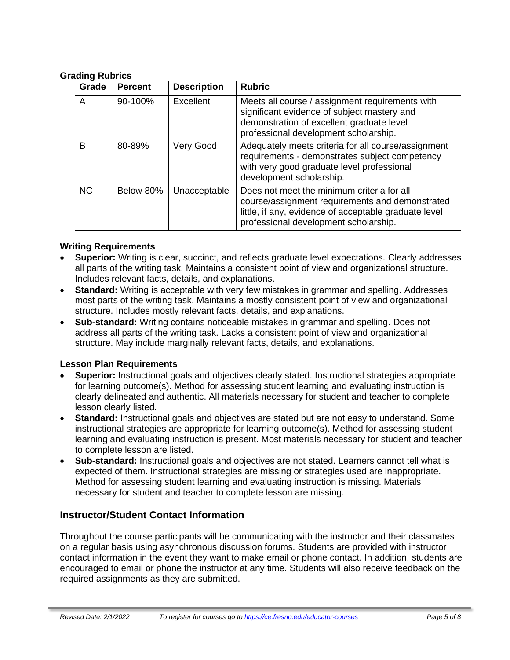#### **Grading Rubrics**

| Grade     | <b>Percent</b> | <b>Description</b> | <b>Rubric</b>                                                                                                                                                                                   |
|-----------|----------------|--------------------|-------------------------------------------------------------------------------------------------------------------------------------------------------------------------------------------------|
| A         | 90-100%        | Excellent          | Meets all course / assignment requirements with<br>significant evidence of subject mastery and<br>demonstration of excellent graduate level<br>professional development scholarship.            |
| B         | 80-89%         | Very Good          | Adequately meets criteria for all course/assignment<br>requirements - demonstrates subject competency<br>with very good graduate level professional<br>development scholarship.                 |
| <b>NC</b> | Below 80%      | Unacceptable       | Does not meet the minimum criteria for all<br>course/assignment requirements and demonstrated<br>little, if any, evidence of acceptable graduate level<br>professional development scholarship. |

#### **Writing Requirements**

- **Superior:** Writing is clear, succinct, and reflects graduate level expectations. Clearly addresses all parts of the writing task. Maintains a consistent point of view and organizational structure. Includes relevant facts, details, and explanations.
- **Standard:** Writing is acceptable with very few mistakes in grammar and spelling. Addresses most parts of the writing task. Maintains a mostly consistent point of view and organizational structure. Includes mostly relevant facts, details, and explanations.
- **Sub-standard:** Writing contains noticeable mistakes in grammar and spelling. Does not address all parts of the writing task. Lacks a consistent point of view and organizational structure. May include marginally relevant facts, details, and explanations.

# **Lesson Plan Requirements**

- **Superior:** Instructional goals and objectives clearly stated. Instructional strategies appropriate for learning outcome(s). Method for assessing student learning and evaluating instruction is clearly delineated and authentic. All materials necessary for student and teacher to complete lesson clearly listed.
- **Standard:** Instructional goals and objectives are stated but are not easy to understand. Some instructional strategies are appropriate for learning outcome(s). Method for assessing student learning and evaluating instruction is present. Most materials necessary for student and teacher to complete lesson are listed.
- **Sub-standard:** Instructional goals and objectives are not stated. Learners cannot tell what is expected of them. Instructional strategies are missing or strategies used are inappropriate. Method for assessing student learning and evaluating instruction is missing. Materials necessary for student and teacher to complete lesson are missing.

# **Instructor/Student Contact Information**

Throughout the course participants will be communicating with the instructor and their classmates on a regular basis using asynchronous discussion forums. Students are provided with instructor contact information in the event they want to make email or phone contact. In addition, students are encouraged to email or phone the instructor at any time. Students will also receive feedback on the required assignments as they are submitted.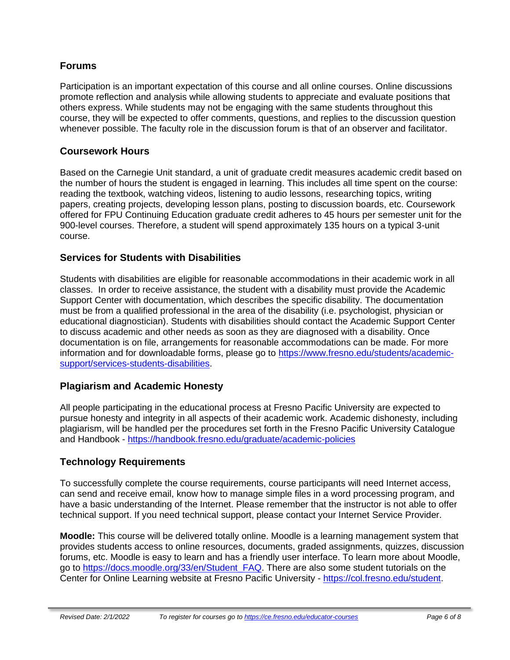# **Forums**

Participation is an important expectation of this course and all online courses. Online discussions promote reflection and analysis while allowing students to appreciate and evaluate positions that others express. While students may not be engaging with the same students throughout this course, they will be expected to offer comments, questions, and replies to the discussion question whenever possible. The faculty role in the discussion forum is that of an observer and facilitator.

# **Coursework Hours**

Based on the Carnegie Unit standard, a unit of graduate credit measures academic credit based on the number of hours the student is engaged in learning. This includes all time spent on the course: reading the textbook, watching videos, listening to audio lessons, researching topics, writing papers, creating projects, developing lesson plans, posting to discussion boards, etc. Coursework offered for FPU Continuing Education graduate credit adheres to 45 hours per semester unit for the 900-level courses. Therefore, a student will spend approximately 135 hours on a typical 3-unit course.

# **Services for Students with Disabilities**

Students with disabilities are eligible for reasonable accommodations in their academic work in all classes. In order to receive assistance, the student with a disability must provide the Academic Support Center with documentation, which describes the specific disability. The documentation must be from a qualified professional in the area of the disability (i.e. psychologist, physician or educational diagnostician). Students with disabilities should contact the Academic Support Center to discuss academic and other needs as soon as they are diagnosed with a disability. Once documentation is on file, arrangements for reasonable accommodations can be made. For more information and for downloadable forms, please go to [https://www.fresno.edu/students/academic](https://www.fresno.edu/students/academic-support/services-students-disabilities)[support/services-students-disabilities.](https://www.fresno.edu/students/academic-support/services-students-disabilities)

# **Plagiarism and Academic Honesty**

All people participating in the educational process at Fresno Pacific University are expected to pursue honesty and integrity in all aspects of their academic work. Academic dishonesty, including plagiarism, will be handled per the procedures set forth in the Fresno Pacific University Catalogue and Handbook - <https://handbook.fresno.edu/graduate/academic-policies>

# **Technology Requirements**

To successfully complete the course requirements, course participants will need Internet access, can send and receive email, know how to manage simple files in a word processing program, and have a basic understanding of the Internet. Please remember that the instructor is not able to offer technical support. If you need technical support, please contact your Internet Service Provider.

**Moodle:** This course will be delivered totally online. Moodle is a learning management system that provides students access to online resources, documents, graded assignments, quizzes, discussion forums, etc. Moodle is easy to learn and has a friendly user interface. To learn more about Moodle, go to [https://docs.moodle.org/33/en/Student\\_FAQ.](https://docs.moodle.org/33/en/Student_FAQ) There are also some student tutorials on the Center for Online Learning website at Fresno Pacific University - [https://col.fresno.edu/student.](https://col.fresno.edu/student)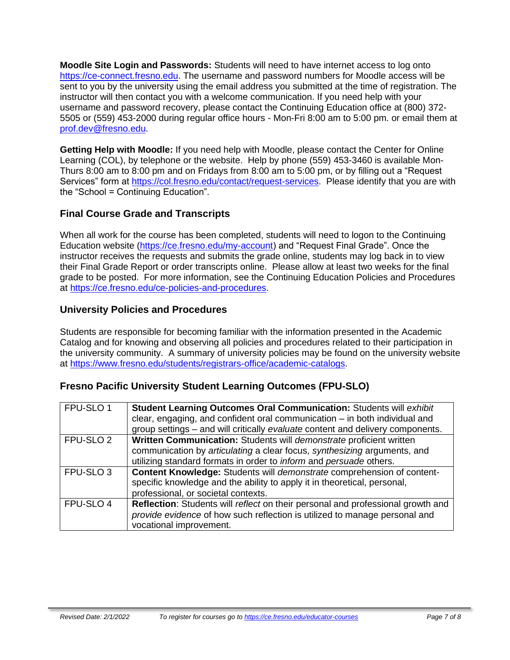**Moodle Site Login and Passwords:** Students will need to have internet access to log onto [https://ce-connect.fresno.edu.](https://ce-connect.fresno.edu/) The username and password numbers for Moodle access will be sent to you by the university using the email address you submitted at the time of registration. The instructor will then contact you with a welcome communication. If you need help with your username and password recovery, please contact the Continuing Education office at (800) 372- 5505 or (559) 453-2000 during regular office hours - Mon-Fri 8:00 am to 5:00 pm. or email them at [prof.dev@fresno.edu.](mailto:prof.dev@fresno.edu)

**Getting Help with Moodle:** If you need help with Moodle, please contact the Center for Online Learning (COL), by telephone or the website. Help by phone (559) 453-3460 is available Mon-Thurs 8:00 am to 8:00 pm and on Fridays from 8:00 am to 5:00 pm, or by filling out a "Request Services" form at [https://col.fresno.edu/contact/request-services.](https://col.fresno.edu/contact/request-services) Please identify that you are with the "School = Continuing Education".

# **Final Course Grade and Transcripts**

When all work for the course has been completed, students will need to logon to the Continuing Education website [\(https://ce.fresno.edu/my-account\)](https://ce.fresno.edu/my-account) and "Request Final Grade". Once the instructor receives the requests and submits the grade online, students may log back in to view their Final Grade Report or order transcripts online. Please allow at least two weeks for the final grade to be posted. For more information, see the Continuing Education Policies and Procedures at [https://ce.fresno.edu/ce-policies-and-procedures.](https://ce.fresno.edu/ce-policies-and-procedures)

# **University Policies and Procedures**

Students are responsible for becoming familiar with the information presented in the Academic Catalog and for knowing and observing all policies and procedures related to their participation in the university community. A summary of university policies may be found on the university website at [https://www.fresno.edu/students/registrars-office/academic-catalogs.](https://www.fresno.edu/students/registrars-office/academic-catalogs)

# **Fresno Pacific University Student Learning Outcomes (FPU-SLO)**

| FPU-SLO 1            | Student Learning Outcomes Oral Communication: Students will exhibit<br>clear, engaging, and confident oral communication $-$ in both individual and<br>group settings – and will critically evaluate content and delivery components. |
|----------------------|---------------------------------------------------------------------------------------------------------------------------------------------------------------------------------------------------------------------------------------|
| FPU-SLO <sub>2</sub> | Written Communication: Students will demonstrate proficient written<br>communication by articulating a clear focus, synthesizing arguments, and<br>utilizing standard formats in order to <i>inform</i> and <i>persuade</i> others.   |
| FPU-SLO <sub>3</sub> | Content Knowledge: Students will demonstrate comprehension of content-<br>specific knowledge and the ability to apply it in theoretical, personal,<br>professional, or societal contexts.                                             |
| FPU-SLO 4            | Reflection: Students will reflect on their personal and professional growth and<br>provide evidence of how such reflection is utilized to manage personal and<br>vocational improvement.                                              |